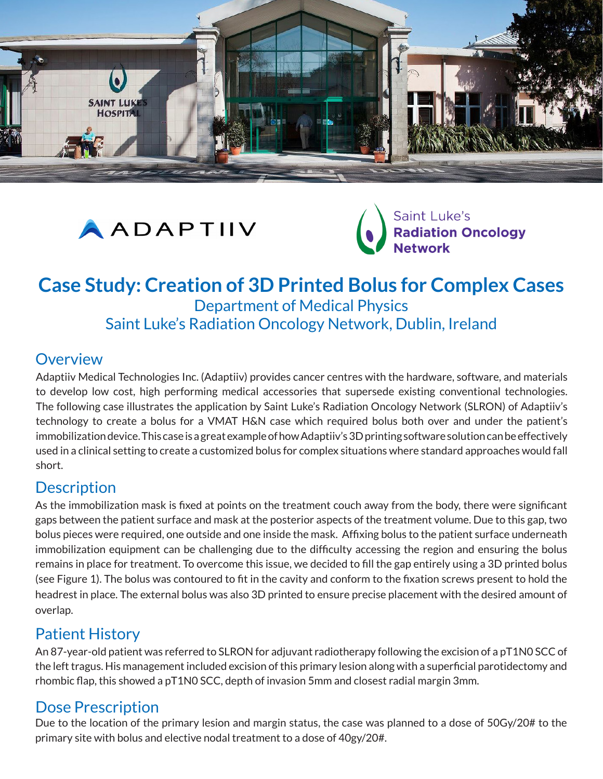





# **Case Study: Creation of 3D Printed Bolus for Complex Cases** Department of Medical Physics

Saint Luke's Radiation Oncology Network, Dublin, Ireland

### **Overview**

Adaptiiv Medical Technologies Inc. (Adaptiiv) provides cancer centres with the hardware, software, and materials to develop low cost, high performing medical accessories that supersede existing conventional technologies. The following case illustrates the application by Saint Luke's Radiation Oncology Network (SLRON) of Adaptiiv's technology to create a bolus for a VMAT H&N case which required bolus both over and under the patient's immobilization device. This case is a great example of how Adaptiiv's 3D printing software solution can be effectively used in a clinical setting to create a customized bolus for complex situations where standard approaches would fall short.

# **Description**

As the immobilization mask is fixed at points on the treatment couch away from the body, there were significant gaps between the patient surface and mask at the posterior aspects of the treatment volume. Due to this gap, two bolus pieces were required, one outside and one inside the mask. Affixing bolus to the patient surface underneath immobilization equipment can be challenging due to the difficulty accessing the region and ensuring the bolus remains in place for treatment. To overcome this issue, we decided to fill the gap entirely using a 3D printed bolus (see Figure 1). The bolus was contoured to fit in the cavity and conform to the fixation screws present to hold the headrest in place. The external bolus was also 3D printed to ensure precise placement with the desired amount of overlap.

## Patient History

An 87-year-old patient was referred to SLRON for adjuvant radiotherapy following the excision of a pT1N0 SCC of the left tragus. His management included excision of this primary lesion along with a superficial parotidectomy and rhombic flap, this showed a pT1N0 SCC, depth of invasion 5mm and closest radial margin 3mm.

# Dose Prescription

Due to the location of the primary lesion and margin status, the case was planned to a dose of 50Gy/20# to the primary site with bolus and elective nodal treatment to a dose of 40gy/20#.